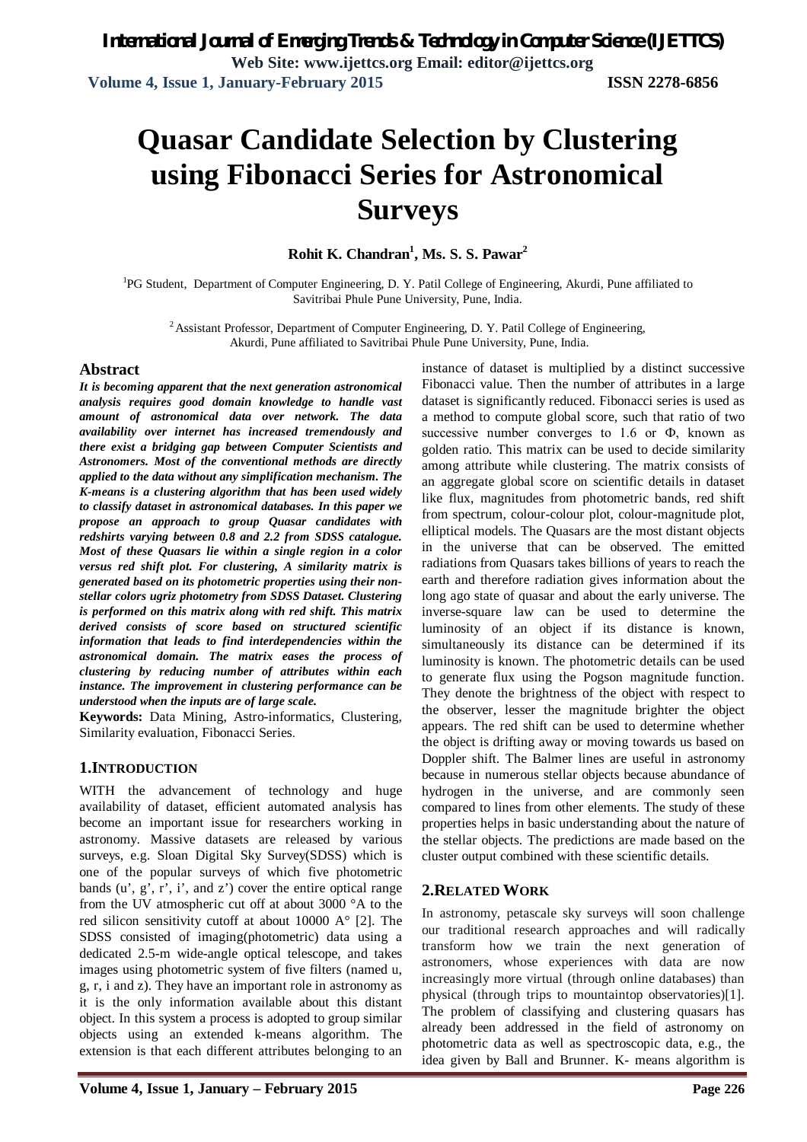**Volume 4, Issue 1, January – February 2015 Page 226**

*International Journal of Emerging Trends & Technology in Computer Science (IJETTCS)* **Web Site: www.ijettcs.org Email: editor@ijettcs.org Volume 4, Issue 1, January-February 2015 ISSN 2278-6856**

# **Quasar Candidate Selection by Clustering using Fibonacci Series for Astronomical Surveys**

**Rohit K. Chandran<sup>1</sup> , Ms. S. S. Pawar<sup>2</sup>**

<sup>1</sup>PG Student, Department of Computer Engineering, D. Y. Patil College of Engineering, Akurdi, Pune affiliated to Savitribai Phule Pune University, Pune, India.

 $2$  Assistant Professor, Department of Computer Engineering, D. Y. Patil College of Engineering, Akurdi, Pune affiliated to Savitribai Phule Pune University, Pune, India.

#### **Abstract**

*It is becoming apparent that the next generation astronomical analysis requires good domain knowledge to handle vast amount of astronomical data over network. The data availability over internet has increased tremendously and there exist a bridging gap between Computer Scientists and Astronomers. Most of the conventional methods are directly applied to the data without any simplification mechanism. The K-means is a clustering algorithm that has been used widely to classify dataset in astronomical databases. In this paper we propose an approach to group Quasar candidates with redshirts varying between 0.8 and 2.2 from SDSS catalogue. Most of these Quasars lie within a single region in a color versus red shift plot. For clustering, A similarity matrix is generated based on its photometric properties using their nonstellar colors ugriz photometry from SDSS Dataset. Clustering is performed on this matrix along with red shift. This matrix derived consists of score based on structured scientific information that leads to find interdependencies within the astronomical domain. The matrix eases the process of clustering by reducing number of attributes within each instance. The improvement in clustering performance can be understood when the inputs are of large scale.*

**Keywords:** Data Mining, Astro-informatics, Clustering, Similarity evaluation, Fibonacci Series.

#### **1.INTRODUCTION**

WITH the advancement of technology and huge availability of dataset, efficient automated analysis has become an important issue for researchers working in astronomy. Massive datasets are released by various surveys, e.g. Sloan Digital Sky Survey(SDSS) which is from the UV atmospheric cut off at about 3000 °A to the red silicon sensitivity cutoff at about 10000 A° [2]. The SDSS consisted of imaging(photometric) data using a dedicated 2.5-m wide-angle optical telescope, and takes images using photometric system of five filters (named u, g, r, i and z). They have an important role in astronomy as it is the only information available about this distant object. In this system a process is adopted to group similar objects using an extended k-means algorithm. The extension is that each different attributes belonging to an

instance of dataset is multiplied by a distinct successive Fibonacci value. Then the number of attributes in a large dataset is significantly reduced. Fibonacci series is used as a method to compute global score, such that ratio of two successive number converges to 1.6 or  $\Phi$ , known as golden ratio. This matrix can be used to decide similarity among attribute while clustering. The matrix consists of an aggregate global score on scientific details in dataset like flux, magnitudes from photometric bands, red shift from spectrum, colour-colour plot, colour-magnitude plot, elliptical models. The Quasars are the most distant objects in the universe that can be observed. The emitted radiations from Quasars takes billions of years to reach the earth and therefore radiation gives information about the long ago state of quasar and about the early universe. The inverse-square law can be used to determine the luminosity of an object if its distance is known, simultaneously its distance can be determined if its luminosity is known. The photometric details can be used to generate flux using the Pogson magnitude function. They denote the brightness of the object with respect to the observer, lesser the magnitude brighter the object appears. The red shift can be used to determine whether the object is drifting away or moving towards us based on Doppler shift. The Balmer lines are useful in astronomy because in numerous stellar objects because abundance of hydrogen in the universe, and are commonly seen compared to lines from other elements. The study of these properties helps in basic understanding about the nature of the stellar objects. The predictions are made based on the cluster output combined with these scientific details.

In astronomy, petascale sky surveys will soon challenge our traditional research approaches and will radically transform how we train the next generation of astronomers, whose experiences with data are now increasingly more virtual (through online databases) than physical (through trips to mountaintop observatories)[1]. The problem of classifying and clustering quasars has already been addressed in the field of astronomy on photometric data as well as spectroscopic data, e.g., the idea given by Ball and Brunner. K- means algorithm is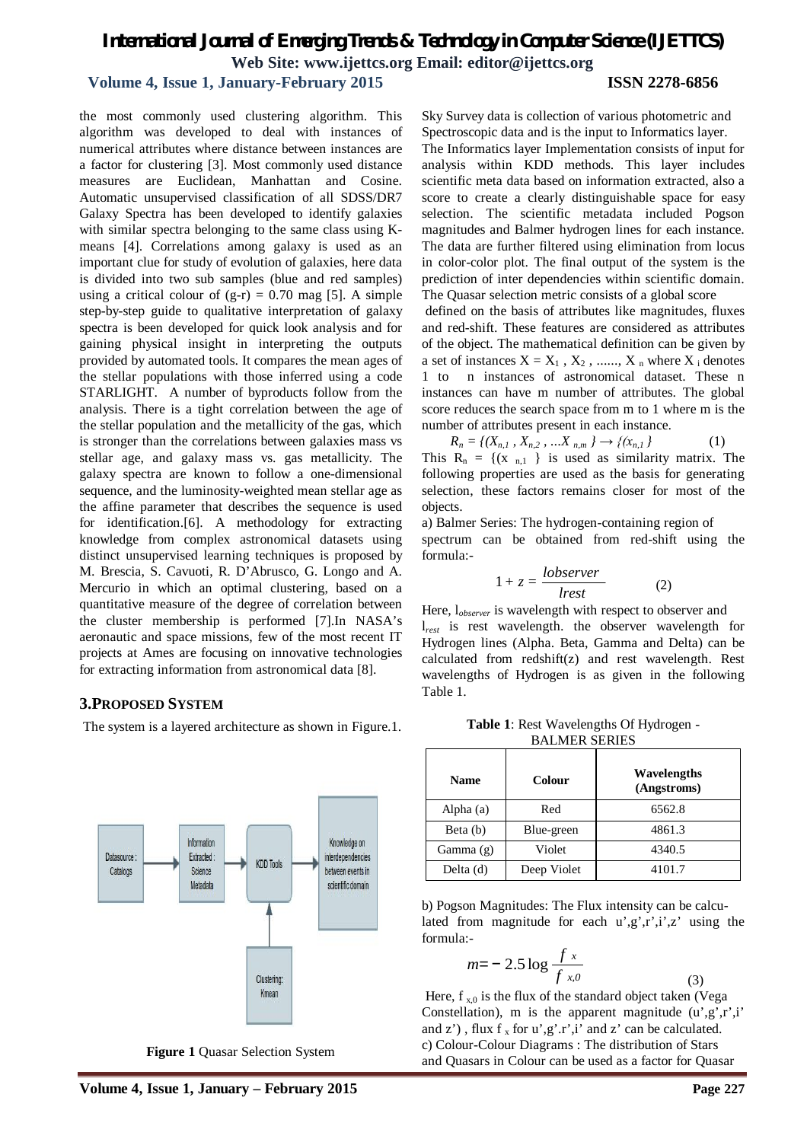# *International Journal of Emerging Trends & Technology in Computer Science (IJETTCS)* **Web Site: www.ijettcs.org Email: editor@ijettcs.org**

### **Volume 4, Issue 1, January-February 2015 ISSN 2278-6856**

the most commonly used clustering algorithm. This algorithm was developed to deal with instances of numerical attributes where distance between instances are a factor for clustering [3]. Most commonly used distance measures are Euclidean, Manhattan and Cosine. Automatic unsupervised classification of all SDSS/DR7 Galaxy Spectra has been developed to identify galaxies with similar spectra belonging to the same class using Kmeans [4]. Correlations among galaxy is used as an important clue for study of evolution of galaxies, here data is divided into two sub samples (blue and red samples) using a critical colour of  $(g-r) = 0.70$  mag [5]. A simple step-by-step guide to qualitative interpretation of galaxy spectra is been developed for quick look analysis and for gaining physical insight in interpreting the outputs provided by automated tools. It compares the mean ages of the stellar populations with those inferred using a code STARLIGHT. A number of byproducts follow from the analysis. There is a tight correlation between the age of the stellar population and the metallicity of the gas, which is stronger than the correlations between galaxies mass vs stellar age, and galaxy mass vs. gas metallicity. The galaxy spectra are known to follow a one-dimensional sequence, and the luminosity-weighted mean stellar age as the affine parameter that describes the sequence is used for identification.[6]. A methodology for extracting knowledge from complex astronomical datasets using distinct unsupervised learning techniques is proposed by M. Brescia, S. Cavuoti, R. D'Abrusco, G. Longo and A. Mercurio in which an optimal clustering, based on a quantitative measure of the degree of correlation between the cluster membership is performed [7].In NASA's aeronautic and space missions, few of the most recent IT projects at Ames are focusing on innovative technologies for extracting information from astronomical data [8].

#### **3.PROPOSED SYSTEM**

The system is a layered architecture as shown in Figure.1.



**Figure 1** Quasar Selection System

Sky Survey data is collection of various photometric and Spectroscopic data and is the input to Informatics layer.

The Informatics layer Implementation consists of input for analysis within KDD methods. This layer includes scientific meta data based on information extracted, also a score to create a clearly distinguishable space for easy selection. The scientific metadata included Pogson magnitudes and Balmer hydrogen lines for each instance. The data are further filtered using elimination from locus in color-color plot. The final output of the system is the prediction of inter dependencies within scientific domain. The Quasar selection metric consists of a global score

defined on the basis of attributes like magnitudes, fluxes and red-shift. These features are considered as attributes of the object. The mathematical definition can be given by a set of instances  $X = X_1, X_2, \dots, X_n$  where  $X_i$  denotes 1 to n instances of astronomical dataset. These n instances can have m number of attributes. The global score reduces the search space from m to 1 where m is the number of attributes present in each instance.

 $R_n = \{(X_{n,1}, X_{n,2}, \ldots, X_{n,m}\} \rightarrow \{(x_{n,1})\}$  (1) This  $R_n = \{(x_{n,1})\}$  is used as similarity matrix. The following properties are used as the basis for generating selection, these factors remains closer for most of the objects.

a) Balmer Series: The hydrogen-containing region of spectrum can be obtained from red-shift using the formula:-

$$
1 + z = \frac{lobserver}{lrest}
$$
 (2)

Here, l*observer* is wavelength with respect to observer and l*rest* is rest wavelength. the observer wavelength for Hydrogen lines (Alpha. Beta, Gamma and Delta) can be calculated from redshift(z) and rest wavelength. Rest wavelengths of Hydrogen is as given in the following Table 1.

**Table 1**: Rest Wavelengths Of Hydrogen - BALMER SERIES

| Name        | Wavelengths<br>Colour<br>(Angstroms) |        |  |
|-------------|--------------------------------------|--------|--|
| Alpha (a)   | Red                                  | 6562.8 |  |
| Beta (b)    | Blue-green                           | 4861.3 |  |
| Gamma $(g)$ | Violet                               | 4340.5 |  |
| Delta $(d)$ | Deep Violet                          | 4101.7 |  |

b) Pogson Magnitudes: The Flux intensity can be calculated from magnitude for each  $u$ ',g',r',i',z' using the formula:-

$$
m = -2.5 \log \frac{f x}{f x_0}
$$
 (3)

Here,  $f_{x,0}$  is the flux of the standard object taken (Vega Constellation), m is the apparent magnitude  $(u', g', r', i')$ and  $z'$ ), flux f<sub>x</sub> for u',g'.r',i' and z' can be calculated. c) Colour-Colour Diagrams : The distribution of Stars and Quasars in Colour can be used as a factor for Quasar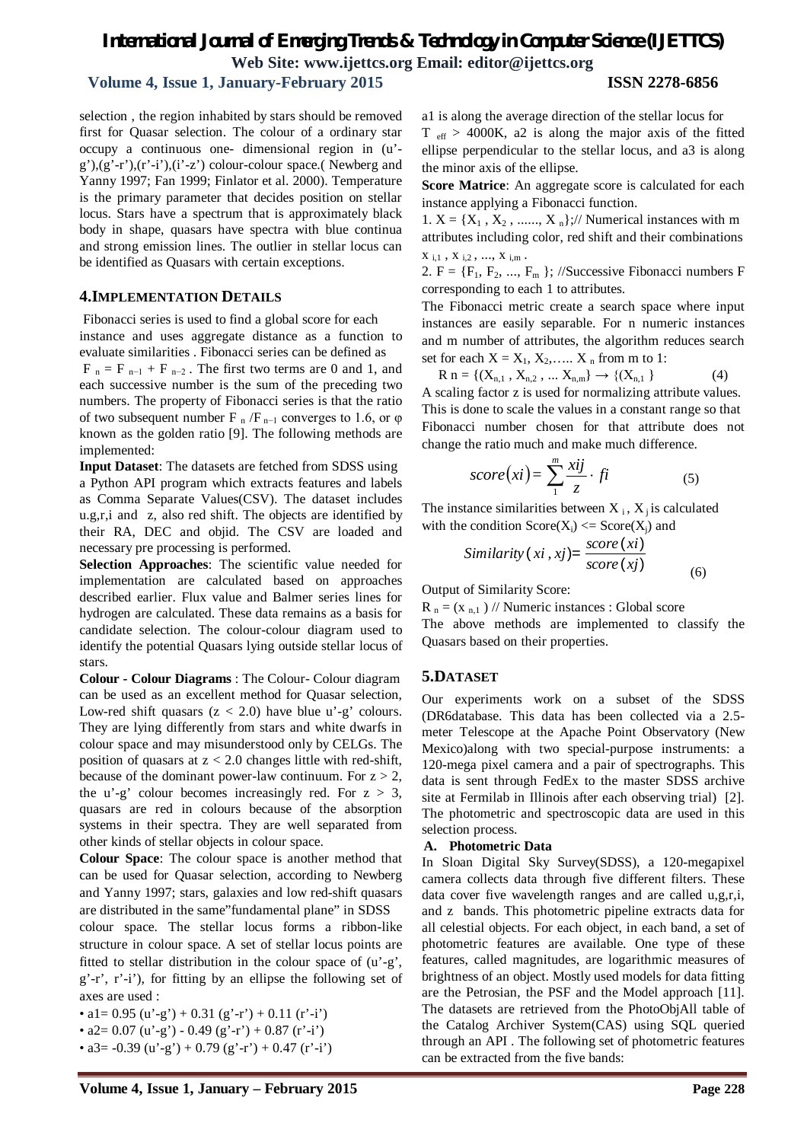# *International Journal of Emerging Trends & Technology in Computer Science (IJETTCS)* **Web Site: www.ijettcs.org Email: editor@ijettcs.org**

### **Volume 4, Issue 1, January-February 2015 ISSN 2278-6856**

selection , the region inhabited by stars should be removed first for Quasar selection. The colour of a ordinary star occupy a continuous one- dimensional region in (u'-  $(g<sup>3</sup>), (g<sup>3</sup>-r<sup>3</sup>), (r<sup>3</sup>-i<sup>3</sup>), (i<sup>3</sup>-z<sup>3</sup>)$  colour-colour space.( Newberg and Yanny 1997; Fan 1999; Finlator et al. 2000). Temperature is the primary parameter that decides position on stellar locus. Stars have a spectrum that is approximately black body in shape, quasars have spectra with blue continua and strong emission lines. The outlier in stellar locus can be identified as Quasars with certain exceptions.

#### **4.IMPLEMENTATION DETAILS**

Fibonacci series is used to find a global score for each instance and uses aggregate distance as a function to evaluate similarities . Fibonacci series can be defined as

 $F_n = F_{n-1} + F_{n-2}$ . The first two terms are 0 and 1, and each successive number is the sum of the preceding two numbers. The property of Fibonacci series is that the ratio of two subsequent number F  $_{n}$  /F  $_{n-1}$  converges to 1.6, or  $\varphi$ known as the golden ratio [9]. The following methods are implemented:

**Input Dataset**: The datasets are fetched from SDSS using a Python API program which extracts features and labels as Comma Separate Values(CSV). The dataset includes u.g,r,i and z, also red shift. The objects are identified by their RA, DEC and objid. The CSV are loaded and necessary pre processing is performed.

**Selection Approaches**: The scientific value needed for implementation are calculated based on approaches described earlier. Flux value and Balmer series lines for hydrogen are calculated. These data remains as a basis for candidate selection. The colour-colour diagram used to identify the potential Quasars lying outside stellar locus of stars.

**Colour - Colour Diagrams** : The Colour- Colour diagram can be used as an excellent method for Quasar selection, Low-red shift quasars  $(z < 2.0)$  have blue u'-g' colours. They are lying differently from stars and white dwarfs in colour space and may misunderstood only by CELGs. The position of quasars at  $z < 2.0$  changes little with red-shift, because of the dominant power-law continuum. For  $z > 2$ , the u'-g' colour becomes increasingly red. For  $z > 3$ , quasars are red in colours because of the absorption systems in their spectra. They are well separated from other kinds of stellar objects in colour space.

**Colour Space**: The colour space is another method that can be used for Quasar selection, according to Newberg and Yanny 1997; stars, galaxies and low red-shift quasars are distributed in the same"fundamental plane" in SDSS

colour space. The stellar locus forms a ribbon-like structure in colour space. A set of stellar locus points are fitted to stellar distribution in the colour space of (u'-g', g'-r', r'-i'), for fitting by an ellipse the following set of axes are used :

• a1= 0.95 (u'-g') + 0.31 (g'-r') + 0.11 (r'-i')

•  $a2 = 0.07$  (u'-g') - 0.49 (g'-r') + 0.87 (r'-i')

•  $a3 = -0.39$  (u'-g') + 0.79 (g'-r') + 0.47 (r'-i')

a1 is along the average direction of the stellar locus for  $T_{\text{eff}} > 4000$ K, a2 is along the major axis of the fitted ellipse perpendicular to the stellar locus, and a3 is along the minor axis of the ellipse.

**Score Matrice**: An aggregate score is calculated for each instance applying a Fibonacci function.

1.  $X = \{X_1, X_2, \ldots, X_n\};$ // Numerical instances with m attributes including color, red shift and their combinations  $X_{i,1}$  ,  $X_{i,2}$  , ...,  $X_{i,m}$  .

2.  $F = \{F_1, F_2, ..., F_m\}$ ; //Successive Fibonacci numbers F corresponding to each 1 to attributes.

The Fibonacci metric create a search space where input instances are easily separable. For n numeric instances and m number of attributes, the algorithm reduces search set for each  $X = X_1, X_2, \ldots, X_n$  from m to 1:

$$
R n = \{ (X_{n,1}, X_{n,2}, \dots X_{n,m} \} \to \{ (X_{n,1} ) \} \tag{4}
$$

A scaling factor z is used for normalizing attribute values. This is done to scale the values in a constant range so that Fibonacci number chosen for that attribute does not change the ratio much and make much difference.

$$
score(xi) = \sum_{1}^{m} \frac{xij}{z} \cdot fi \tag{5}
$$

The instance similarities between  $X_i$ ,  $X_i$  is calculated with the condition  $Score(X_i) \leq Score(X_i)$  and

Similarly 
$$
(xi, xj)
$$
 =  $\frac{score(xi)}{score(xj)}$ 

Output of Similarity Score:

 $R_n = (x_{n,1})$  // Numeric instances : Global score

The above methods are implemented to classify the Quasars based on their properties.

(6)

#### **5.DATASET**

Our experiments work on a subset of the SDSS (DR6database. This data has been collected via a 2.5 meter Telescope at the Apache Point Observatory (New Mexico)along with two special-purpose instruments: a 120-mega pixel camera and a pair of spectrographs. This data is sent through FedEx to the master SDSS archive site at Fermilab in Illinois after each observing trial) [2]. The photometric and spectroscopic data are used in this selection process.

#### **A. Photometric Data**

In Sloan Digital Sky Survey(SDSS), a 120-megapixel camera collects data through five different filters. These data cover five wavelength ranges and are called u,g,r,i, and z bands. This photometric pipeline extracts data for all celestial objects. For each object, in each band, a set of photometric features are available. One type of these features, called magnitudes, are logarithmic measures of brightness of an object. Mostly used models for data fitting are the Petrosian, the PSF and the Model approach [11]. The datasets are retrieved from the PhotoObjAll table of the Catalog Archiver System(CAS) using SQL queried through an API . The following set of photometric features can be extracted from the five bands: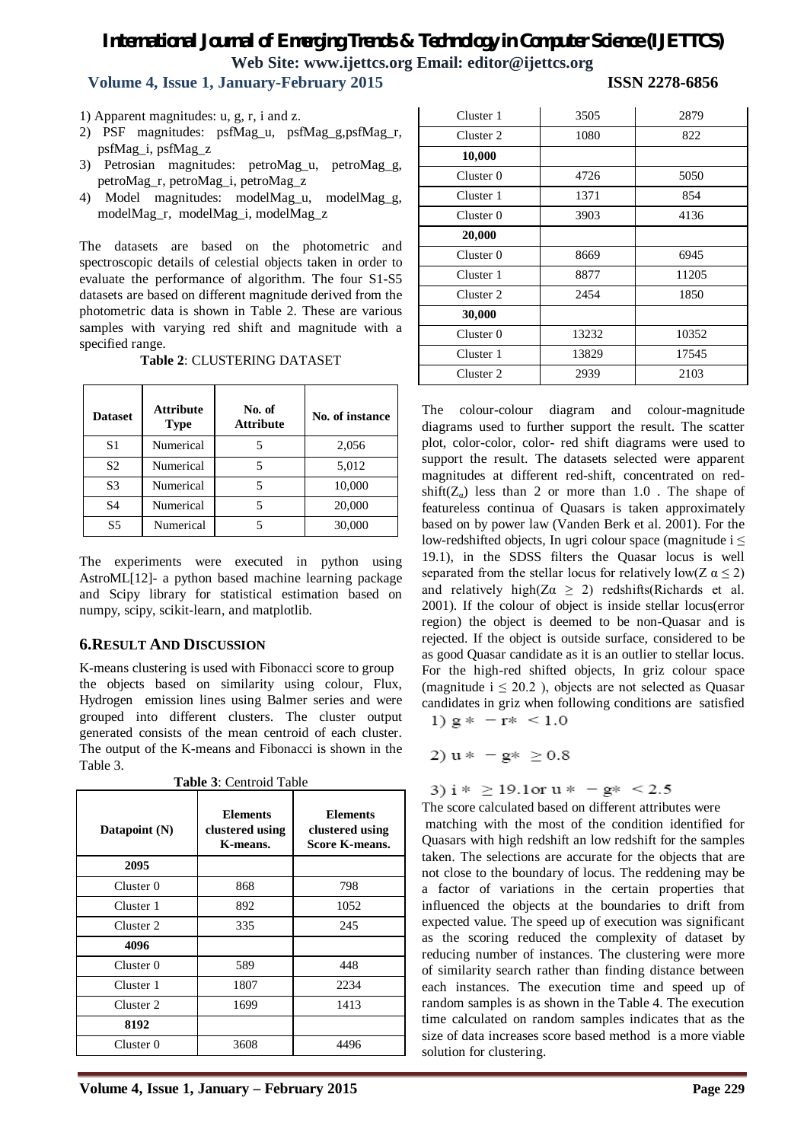# *International Journal of Emerging Trends & Technology in Computer Science (IJETTCS)* **Web Site: www.ijettcs.org Email: editor@ijettcs.org**

# **Volume 4, Issue 1, January-February 2015 ISSN 2278-6856**

- 1) Apparent magnitudes: u, g, r, i and z.
- 2) PSF magnitudes: psfMag\_u, psfMag\_g,psfMag\_r, psfMag\_i, psfMag\_z
- 3) Petrosian magnitudes: petroMag\_u, petroMag\_g, petroMag\_r, petroMag\_i, petroMag\_z
- 4) Model magnitudes: modelMag\_u, modelMag\_g, modelMag\_r, modelMag\_i, modelMag\_z

The datasets are based on the photometric and spectroscopic details of celestial objects taken in order to evaluate the performance of algorithm. The four S1-S5 datasets are based on different magnitude derived from the photometric data is shown in Table 2. These are various samples with varying red shift and magnitude with a specified range.

| <b>Dataset</b> | <b>Attribute</b><br><b>Type</b> | No. of<br><b>Attribute</b> | No. of instance |
|----------------|---------------------------------|----------------------------|-----------------|
| S1             | Numerical                       |                            | 2,056           |
| S <sub>2</sub> | Numerical                       |                            | 5,012           |
| S <sub>3</sub> | Numerical                       |                            | 10,000          |
| S4             | Numerical                       | 5                          | 20,000          |
| S5             | Numerical                       |                            | 30,000          |

**Table 2**: CLUSTERING DATASET

The experiments were executed in python using AstroML[12]- a python based machine learning package and Scipy library for statistical estimation based on numpy, scipy, scikit-learn, and matplotlib.

#### **6.RESULT AND DISCUSSION**

K-means clustering is used with Fibonacci score to group the objects based on similarity using colour, Flux, Hydrogen emission lines using Balmer series and were grouped into different clusters. The cluster output generated consists of the mean centroid of each cluster. The output of the K-means and Fibonacci is shown in the Table 3.

| Datapoint (N) | <b>Elements</b><br>clustered using<br>K-means. | <b>Elements</b><br>clustered using<br><b>Score K-means.</b> |
|---------------|------------------------------------------------|-------------------------------------------------------------|
| 2095          |                                                |                                                             |
| Cluster 0     | 868                                            | 798                                                         |
| Cluster 1     | 892                                            | 1052                                                        |
| Cluster 2     | 335                                            | 245                                                         |
| 4096          |                                                |                                                             |
| Cluster 0     | 589                                            | 448                                                         |
| Cluster 1     | 1807                                           | 2234                                                        |
| Cluster 2     | 1699                                           | 1413                                                        |
| 8192          |                                                |                                                             |
| Cluster 0     | 3608                                           | 4496                                                        |

**Table 3**: Centroid Table

| Cluster 1 | 3505  | 2879  |
|-----------|-------|-------|
| Cluster 2 | 1080  | 822   |
| 10,000    |       |       |
| Cluster 0 | 4726  | 5050  |
| Cluster 1 | 1371  | 854   |
| Cluster 0 | 3903  | 4136  |
| 20,000    |       |       |
| Cluster 0 | 8669  | 6945  |
| Cluster 1 | 8877  | 11205 |
| Cluster 2 | 2454  | 1850  |
| 30,000    |       |       |
| Cluster 0 | 13232 | 10352 |
| Cluster 1 | 13829 | 17545 |
| Cluster 2 | 2939  | 2103  |

The colour-colour diagram and colour-magnitude diagrams used to further support the result. The scatter plot, color-color, color- red shift diagrams were used to support the result. The datasets selected were apparent magnitudes at different red-shift, concentrated on redshift( $Z_{\alpha}$ ) less than 2 or more than 1.0. The shape of featureless continua of Quasars is taken approximately based on by power law (Vanden Berk et al. 2001). For the low-redshifted objects, In ugri colour space (magnitude  $i \leq$ 19.1), in the SDSS filters the Quasar locus is well separated from the stellar locus for relatively low( $Z \alpha \leq 2$ ) and relatively high( $Z\alpha \geq 2$ ) redshifts(Richards et al. 2001). If the colour of object is inside stellar locus(error region) the object is deemed to be non-Quasar and is rejected. If the object is outside surface, considered to be as good Quasar candidate as it is an outlier to stellar locus. For the high-red shifted objects, In griz colour space (magnitude  $i \leq 20.2$ ), objects are not selected as Quasar candidates in griz when following conditions are satisfied 1)  $g* - r* < 1.0$ 

$$
2) u * - g * \geq 0.8
$$

3)  $i * \ge 19.1$  or  $u * - g * \le 2.5$ 

The score calculated based on different attributes were matching with the most of the condition identified for Quasars with high redshift an low redshift for the samples taken. The selections are accurate for the objects that are not close to the boundary of locus. The reddening may be a factor of variations in the certain properties that influenced the objects at the boundaries to drift from expected value. The speed up of execution was significant as the scoring reduced the complexity of dataset by reducing number of instances. The clustering were more of similarity search rather than finding distance between each instances. The execution time and speed up of random samples is as shown in the Table 4. The execution time calculated on random samples indicates that as the size of data increases score based method is a more viable solution for clustering.